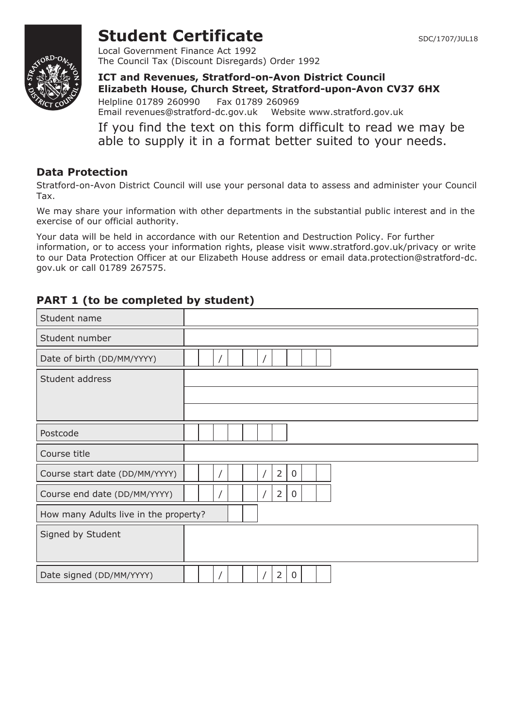

# **Student Certificate** SDC/1707/JUL18

Local Government Finance Act 1992 The Council Tax (Discount Disregards) Order 1992

**ICT and Revenues, Stratford-on-Avon District Council Elizabeth House, Church Street, Stratford-upon-Avon CV37 6HX** Helpline 01789 260990 Fax 01789 260969 Email revenues@stratford-dc.gov.uk Website www.stratford.gov.uk

If you find the text on this form difficult to read we may be able to supply it in a format better suited to your needs.

### **Data Protection**

Stratford-on-Avon District Council will use your personal data to assess and administer your Council Tax.

We may share your information with other departments in the substantial public interest and in the exercise of our official authority.

Your data will be held in accordance with our Retention and Destruction Policy. For further information, or to access your information rights, please visit www.stratford.gov.uk/privacy or write to our Data Protection Officer at our Elizabeth House address or email data.protection@stratford-dc. gov.uk or call 01789 267575.

## **PART 1 (to be completed by student)**

| Student name                          |                                |  |
|---------------------------------------|--------------------------------|--|
| Student number                        |                                |  |
| Date of birth (DD/MM/YYYY)            |                                |  |
| Student address                       |                                |  |
|                                       |                                |  |
|                                       |                                |  |
| Postcode                              |                                |  |
| Course title                          |                                |  |
| Course start date (DD/MM/YYYY)        | $\overline{2}$<br>$\mathbf 0$  |  |
| Course end date (DD/MM/YYYY)          | $\overline{2}$<br>0            |  |
| How many Adults live in the property? |                                |  |
| Signed by Student                     |                                |  |
|                                       |                                |  |
| Date signed (DD/MM/YYYY)              | $\overline{2}$<br>$\mathbf{0}$ |  |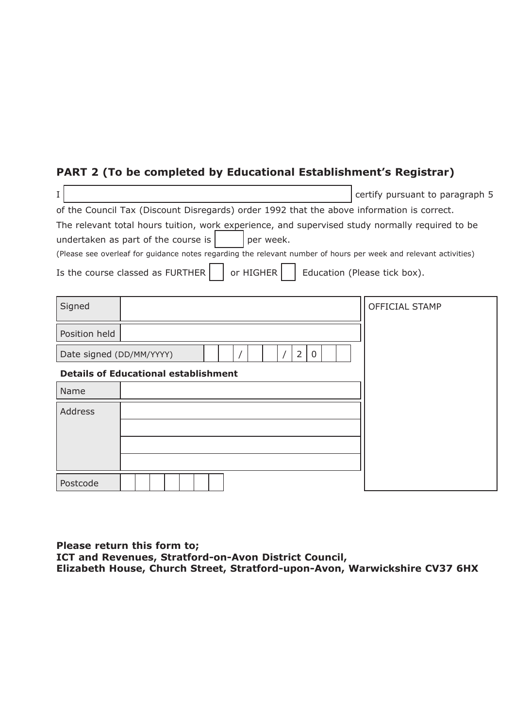# **PART 2 (To be completed by Educational Establishment's Registrar)**

|                                                                                                                  | certify pursuant to paragraph 5 |  |  |  |
|------------------------------------------------------------------------------------------------------------------|---------------------------------|--|--|--|
| of the Council Tax (Discount Disregards) order 1992 that the above information is correct.                       |                                 |  |  |  |
| The relevant total hours tuition, work experience, and supervised study normally required to be                  |                                 |  |  |  |
| undertaken as part of the course is<br>per week.                                                                 |                                 |  |  |  |
| (Please see overleaf for guidance notes regarding the relevant number of hours per week and relevant activities) |                                 |  |  |  |
| Is the course classed as FURTHER<br>or HIGHER                                                                    | Education (Please tick box).    |  |  |  |

| Signed                                          |                                             | OFFICIAL STAMP |
|-------------------------------------------------|---------------------------------------------|----------------|
| Position held                                   |                                             |                |
| $\overline{2}$<br>Date signed (DD/MM/YYYY)<br>0 |                                             |                |
|                                                 | <b>Details of Educational establishment</b> |                |
| Name                                            |                                             |                |
| Address                                         |                                             |                |
|                                                 |                                             |                |
|                                                 |                                             |                |
|                                                 |                                             |                |
| Postcode                                        |                                             |                |

**Please return this form to; ICT and Revenues, Stratford-on-Avon District Council, Elizabeth House, Church Street, Stratford-upon-Avon, Warwickshire CV37 6HX**